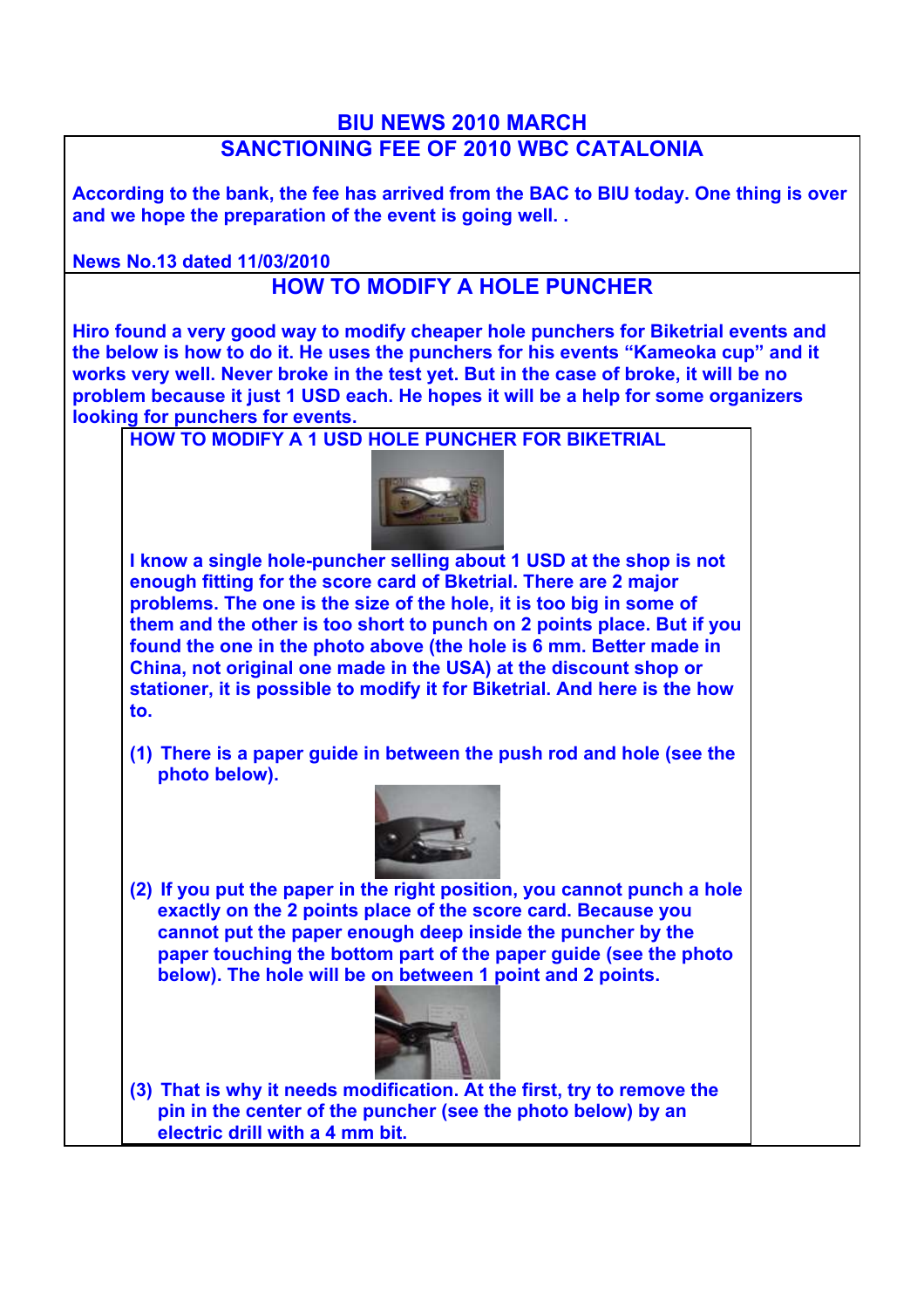## **BIU NEWS 2010 MARCH**

## **SANCTIONING FEE OF 2010 WBC CATALONIA**

**According to the bank, the fee has arrived from the BAC to BIU today. One thing is over and we hope the preparation of the event is going well. .**

**News No.13 dated 11/03/2010**

## **HOW TO MODIFY A HOLE PUNCHER**

**Hiro found a very good way to modify cheaper hole punchers for Biketrial events and the below is how to do it. He uses the punchers for his events "Kameoka cup" and it works very well. Never broke in the test yet. But in the case of broke, it will be no problem because it just 1 USD each. He hopes it will be a help for some organizers looking for punchers for events.** 

**HOW TO MODIFY A 1 USD HOLE PUNCHER FOR BIKETRIAL**



**I know a single hole-puncher selling about 1 USD at the shop is not enough fitting for the score card of Bketrial. There are 2 major problems. The one is the size of the hole, it is too big in some of them and the other is too short to punch on 2 points place. But if you found the one in the photo above (the hole is 6 mm. Better made in China, not original one made in the USA) at the discount shop or stationer, it is possible to modify it for Biketrial. And here is the how to.**

**(1) There is a paper guide in between the push rod and hole (see the photo below).**



**(2) If you put the paper in the right position, you cannot punch a hole exactly on the 2 points place of the score card. Because you cannot put the paper enough deep inside the puncher by the paper touching the bottom part of the paper guide (see the photo below). The hole will be on between 1 point and 2 points.** 



**(3) That is why it needs modification. At the first, try to remove the pin in the center of the puncher (see the photo below) by an electric drill with a 4 mm bit.**